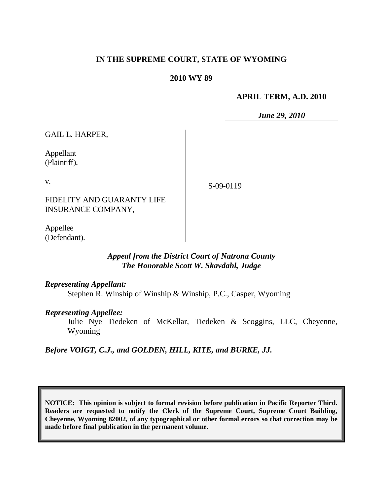### **IN THE SUPREME COURT, STATE OF WYOMING**

#### **2010 WY 89**

#### **APRIL TERM, A.D. 2010**

*June 29, 2010*

GAIL L. HARPER,

Appellant (Plaintiff),

v.

S-09-0119

FIDELITY AND GUARANTY LIFE INSURANCE COMPANY,

Appellee (Defendant).

## *Appeal from the District Court of Natrona County The Honorable Scott W. Skavdahl, Judge*

#### *Representing Appellant:*

Stephen R. Winship of Winship & Winship, P.C., Casper, Wyoming

#### *Representing Appellee:*

Julie Nye Tiedeken of McKellar, Tiedeken & Scoggins, LLC, Cheyenne, Wyoming

*Before VOIGT, C.J., and GOLDEN, HILL, KITE, and BURKE, JJ.*

**NOTICE: This opinion is subject to formal revision before publication in Pacific Reporter Third. Readers are requested to notify the Clerk of the Supreme Court, Supreme Court Building, Cheyenne, Wyoming 82002, of any typographical or other formal errors so that correction may be made before final publication in the permanent volume.**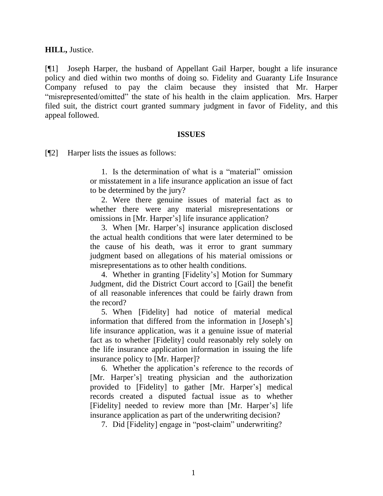**HILL,** Justice.

[¶1] Joseph Harper, the husband of Appellant Gail Harper, bought a life insurance policy and died within two months of doing so. Fidelity and Guaranty Life Insurance Company refused to pay the claim because they insisted that Mr. Harper "misrepresented/omitted" the state of his health in the claim application. Mrs. Harper filed suit, the district court granted summary judgment in favor of Fidelity, and this appeal followed.

#### **ISSUES**

[¶2] Harper lists the issues as follows:

1. Is the determination of what is a "material" omission or misstatement in a life insurance application an issue of fact to be determined by the jury?

2. Were there genuine issues of material fact as to whether there were any material misrepresentations or omissions in [Mr. Harper"s] life insurance application?

3. When [Mr. Harper"s] insurance application disclosed the actual health conditions that were later determined to be the cause of his death, was it error to grant summary judgment based on allegations of his material omissions or misrepresentations as to other health conditions.

4. Whether in granting [Fidelity"s] Motion for Summary Judgment, did the District Court accord to [Gail] the benefit of all reasonable inferences that could be fairly drawn from the record?

5. When [Fidelity] had notice of material medical information that differed from the information in [Joseph"s] life insurance application, was it a genuine issue of material fact as to whether [Fidelity] could reasonably rely solely on the life insurance application information in issuing the life insurance policy to [Mr. Harper]?

6. Whether the application"s reference to the records of [Mr. Harper's] treating physician and the authorization provided to [Fidelity] to gather [Mr. Harper"s] medical records created a disputed factual issue as to whether [Fidelity] needed to review more than [Mr. Harper"s] life insurance application as part of the underwriting decision?

7. Did [Fidelity] engage in "post-claim" underwriting?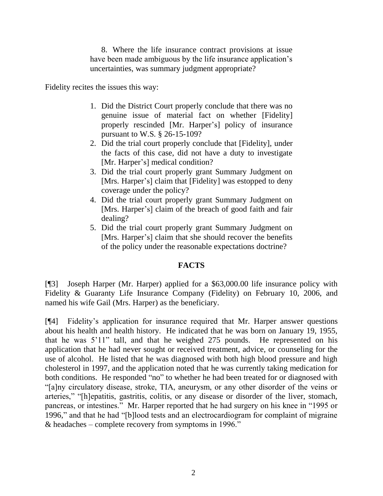8. Where the life insurance contract provisions at issue have been made ambiguous by the life insurance application's uncertainties, was summary judgment appropriate?

Fidelity recites the issues this way:

- 1. Did the District Court properly conclude that there was no genuine issue of material fact on whether [Fidelity] properly rescinded [Mr. Harper"s] policy of insurance pursuant to W.S. § 26-15-109?
- 2. Did the trial court properly conclude that [Fidelity], under the facts of this case, did not have a duty to investigate [Mr. Harper's] medical condition?
- 3. Did the trial court properly grant Summary Judgment on [Mrs. Harper's] claim that [Fidelity] was estopped to deny coverage under the policy?
- 4. Did the trial court properly grant Summary Judgment on [Mrs. Harper's] claim of the breach of good faith and fair dealing?
- 5. Did the trial court properly grant Summary Judgment on [Mrs. Harper's] claim that she should recover the benefits of the policy under the reasonable expectations doctrine?

# **FACTS**

[¶3] Joseph Harper (Mr. Harper) applied for a \$63,000.00 life insurance policy with Fidelity & Guaranty Life Insurance Company (Fidelity) on February 10, 2006, and named his wife Gail (Mrs. Harper) as the beneficiary.

[¶4] Fidelity"s application for insurance required that Mr. Harper answer questions about his health and health history. He indicated that he was born on January 19, 1955, that he was 5"11" tall, and that he weighed 275 pounds. He represented on his application that he had never sought or received treatment, advice, or counseling for the use of alcohol. He listed that he was diagnosed with both high blood pressure and high cholesterol in 1997, and the application noted that he was currently taking medication for both conditions. He responded "no" to whether he had been treated for or diagnosed with "[a]ny circulatory disease, stroke, TIA, aneurysm, or any other disorder of the veins or arteries," "[h]epatitis, gastritis, colitis, or any disease or disorder of the liver, stomach, pancreas, or intestines." Mr. Harper reported that he had surgery on his knee in "1995 or 1996," and that he had "[b]lood tests and an electrocardiogram for complaint of migraine & headaches – complete recovery from symptoms in 1996."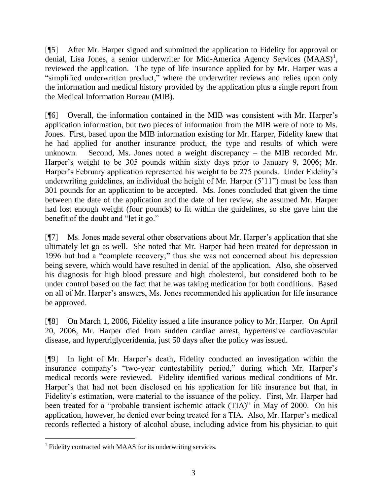[¶5] After Mr. Harper signed and submitted the application to Fidelity for approval or denial, Lisa Jones, a senior underwriter for Mid-America Agency Services  $(MAAS)^1$ , reviewed the application. The type of life insurance applied for by Mr. Harper was a "simplified underwritten product," where the underwriter reviews and relies upon only the information and medical history provided by the application plus a single report from the Medical Information Bureau (MIB).

[¶6] Overall, the information contained in the MIB was consistent with Mr. Harper"s application information, but two pieces of information from the MIB were of note to Ms. Jones. First, based upon the MIB information existing for Mr. Harper, Fidelity knew that he had applied for another insurance product, the type and results of which were unknown. Second, Ms. Jones noted a weight discrepancy – the MIB recorded Mr. Harper's weight to be 305 pounds within sixty days prior to January 9, 2006; Mr. Harper's February application represented his weight to be 275 pounds. Under Fidelity's underwriting guidelines, an individual the height of Mr. Harper  $(5'11'')$  must be less than 301 pounds for an application to be accepted. Ms. Jones concluded that given the time between the date of the application and the date of her review, she assumed Mr. Harper had lost enough weight (four pounds) to fit within the guidelines, so she gave him the benefit of the doubt and "let it go."

[¶7] Ms. Jones made several other observations about Mr. Harper"s application that she ultimately let go as well. She noted that Mr. Harper had been treated for depression in 1996 but had a "complete recovery;" thus she was not concerned about his depression being severe, which would have resulted in denial of the application. Also, she observed his diagnosis for high blood pressure and high cholesterol, but considered both to be under control based on the fact that he was taking medication for both conditions. Based on all of Mr. Harper"s answers, Ms. Jones recommended his application for life insurance be approved.

[¶8] On March 1, 2006, Fidelity issued a life insurance policy to Mr. Harper. On April 20, 2006, Mr. Harper died from sudden cardiac arrest, hypertensive cardiovascular disease, and hypertriglyceridemia, just 50 days after the policy was issued.

[¶9] In light of Mr. Harper"s death, Fidelity conducted an investigation within the insurance company's "two-year contestability period," during which Mr. Harper's medical records were reviewed. Fidelity identified various medical conditions of Mr. Harper's that had not been disclosed on his application for life insurance but that, in Fidelity"s estimation, were material to the issuance of the policy. First, Mr. Harper had been treated for a "probable transient ischemic attack (TIA)" in May of 2000. On his application, however, he denied ever being treated for a TIA. Also, Mr. Harper"s medical records reflected a history of alcohol abuse, including advice from his physician to quit

 $\overline{a}$ <sup>1</sup> Fidelity contracted with MAAS for its underwriting services.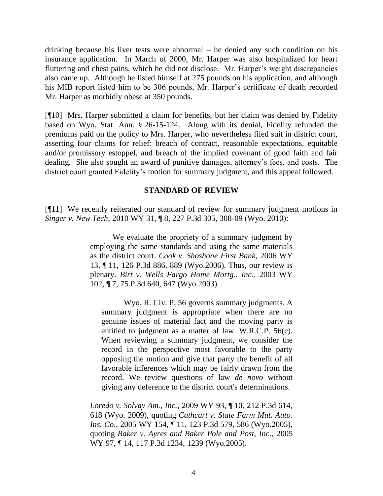drinking because his liver tests were abnormal – he denied any such condition on his insurance application. In March of 2000, Mr. Harper was also hospitalized for heart fluttering and chest pains, which he did not disclose. Mr. Harper"s weight discrepancies also came up. Although he listed himself at 275 pounds on his application, and although his MIB report listed him to be 306 pounds, Mr. Harper's certificate of death recorded Mr. Harper as morbidly obese at 350 pounds.

[¶10] Mrs. Harper submitted a claim for benefits, but her claim was denied by Fidelity based on Wyo. Stat. Ann. § 26-15-124. Along with its denial, Fidelity refunded the premiums paid on the policy to Mrs. Harper, who nevertheless filed suit in district court, asserting four claims for relief: breach of contract, reasonable expectations, equitable and/or promissory estoppel, and breach of the implied covenant of good faith and fair dealing. She also sought an award of punitive damages, attorney"s fees, and costs. The district court granted Fidelity's motion for summary judgment, and this appeal followed.

## **STANDARD OF REVIEW**

[¶11] We recently reiterated our standard of review for summary judgment motions in *Singer v. New Tech*, 2010 WY 31, ¶ 8, 227 P.3d 305, 308-09 (Wyo. 2010):

> We evaluate the propriety of a summary judgment by employing the same standards and using the same materials as the district court. *Cook v. Shoshone First Bank*, 2006 WY 13, ¶ 11, 126 P.3d 886, 889 (Wyo.2006). Thus, our review is plenary. *Birt v. Wells Fargo Home Mortg., Inc*., 2003 WY 102, ¶ 7, 75 P.3d 640, 647 (Wyo.2003).

Wyo. R. Civ. P. 56 governs summary judgments. A summary judgment is appropriate when there are no genuine issues of material fact and the moving party is entitled to judgment as a matter of law. W.R.C.P. 56(c). When reviewing a summary judgment, we consider the record in the perspective most favorable to the party opposing the motion and give that party the benefit of all favorable inferences which may be fairly drawn from the record. We review questions of law *de novo* without giving any deference to the district court's determinations.

*Loredo v. Solvay Am., Inc.,* 2009 WY 93, ¶ 10, 212 P.3d 614, 618 (Wyo. 2009), quoting *[Cathcart v. State Farm Mut. Auto.](http://www.lexis.com/research/buttonTFLink?_m=3ea18105f4351735305d344125027eb8&_xfercite=%3ccite%20cc%3d%22USA%22%3e%3c%21%5bCDATA%5b2009%20WY%2093%5d%5d%3e%3c%2fcite%3e&_butType=3&_butStat=2&_butNum=40&_butInline=1&_butinfo=%3ccite%20cc%3d%22USA%22%3e%3c%21%5bCDATA%5b2005%20WY%20154%5d%5d%3e%3c%2fcite%3e&_fmtstr=FULL&docnum=1&_startdoc=1&wchp=dGLbVtz-zSkAW&_md5=8aaf3b52df7e4e0ecd7e9387818df588)  Ins. Co*., 2005 WY 154, ¶ [11, 123 P.3d 579, 586 \(Wyo.2005\),](http://www.lexis.com/research/buttonTFLink?_m=3ea18105f4351735305d344125027eb8&_xfercite=%3ccite%20cc%3d%22USA%22%3e%3c%21%5bCDATA%5b2009%20WY%2093%5d%5d%3e%3c%2fcite%3e&_butType=3&_butStat=2&_butNum=40&_butInline=1&_butinfo=%3ccite%20cc%3d%22USA%22%3e%3c%21%5bCDATA%5b2005%20WY%20154%5d%5d%3e%3c%2fcite%3e&_fmtstr=FULL&docnum=1&_startdoc=1&wchp=dGLbVtz-zSkAW&_md5=8aaf3b52df7e4e0ecd7e9387818df588) quoting *[Baker v. Ayres and Baker Pole and Post, Inc](http://www.lexis.com/research/buttonTFLink?_m=3ea18105f4351735305d344125027eb8&_xfercite=%3ccite%20cc%3d%22USA%22%3e%3c%21%5bCDATA%5b2009%20WY%2093%5d%5d%3e%3c%2fcite%3e&_butType=3&_butStat=2&_butNum=41&_butInline=1&_butinfo=%3ccite%20cc%3d%22USA%22%3e%3c%21%5bCDATA%5b2005%20WY%2097%5d%5d%3e%3c%2fcite%3e&_fmtstr=FULL&docnum=1&_startdoc=1&wchp=dGLbVtz-zSkAW&_md5=ecb927b169ec58bae1aa59e9239f00ad)*., 2005 WY 97, ¶ [14, 117 P.3d 1234, 1239 \(Wyo.2005\).](http://www.lexis.com/research/buttonTFLink?_m=3ea18105f4351735305d344125027eb8&_xfercite=%3ccite%20cc%3d%22USA%22%3e%3c%21%5bCDATA%5b2009%20WY%2093%5d%5d%3e%3c%2fcite%3e&_butType=3&_butStat=2&_butNum=41&_butInline=1&_butinfo=%3ccite%20cc%3d%22USA%22%3e%3c%21%5bCDATA%5b2005%20WY%2097%5d%5d%3e%3c%2fcite%3e&_fmtstr=FULL&docnum=1&_startdoc=1&wchp=dGLbVtz-zSkAW&_md5=ecb927b169ec58bae1aa59e9239f00ad)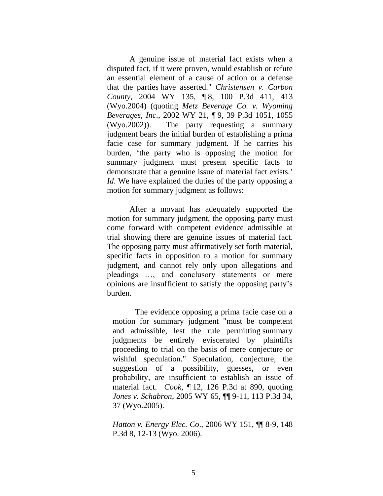A genuine issue of material fact exists when a disputed fact, if it were proven, would establish or refute an essential element of a cause of action or a defense that the parties have asserted." *Christensen v. Carbon County*, 2004 WY 135, ¶ 8, 100 P.3d 411, 413 (Wyo.2004) (quoting *Metz Beverage Co. v. Wyoming Beverages, Inc*., 2002 WY 21, ¶ 9, 39 P.3d 1051, 1055 (Wyo.2002)). The party requesting a summary judgment bears the initial burden of establishing a prima facie case for summary judgment. If he carries his burden, "the party who is opposing the motion for summary judgment must present specific facts to demonstrate that a genuine issue of material fact exists.' *Id*. We have explained the duties of the party opposing a motion for summary judgment as follows:

After a movant has adequately supported the motion for summary judgment, the opposing party must come forward with competent evidence admissible at trial showing there are genuine issues of material fact. The opposing party must affirmatively set forth material, specific facts in opposition to a motion for summary judgment, and cannot rely only upon allegations and pleadings …, and conclusory statements or mere opinions are insufficient to satisfy the opposing party"s burden.

The evidence opposing a prima facie case on a motion for summary judgment "must be competent and admissible, lest the rule permitting summary judgments be entirely eviscerated by plaintiffs proceeding to trial on the basis of mere conjecture or wishful speculation." Speculation, conjecture, the suggestion of a possibility, guesses, or even probability, are insufficient to establish an issue of material fact. *Cook*, ¶ 12, 126 P.3d at 890, quoting *Jones v. Schabron*, 2005 WY 65, ¶¶ 9-11, 113 P.3d 34, 37 (Wyo.2005).

*Hatton v. Energy Elec. Co*., 2006 WY 151, ¶¶ 8-9, 148 P.3d 8, 12-13 (Wyo. 2006).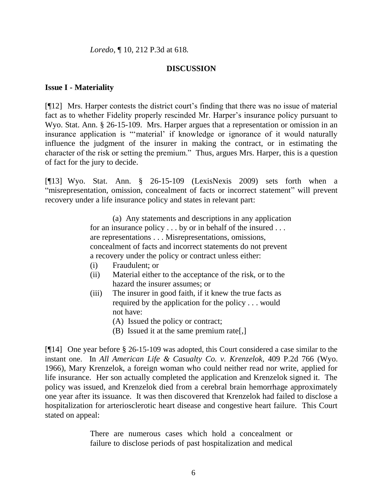*Loredo*, ¶ 10, 212 P.3d at 618.

## **DISCUSSION**

#### **Issue I - Materiality**

[¶12] Mrs. Harper contests the district court"s finding that there was no issue of material fact as to whether Fidelity properly rescinded Mr. Harper's insurance policy pursuant to Wyo. Stat. Ann. § 26-15-109. Mrs. Harper argues that a representation or omission in an insurance application is ""material" if knowledge or ignorance of it would naturally influence the judgment of the insurer in making the contract, or in estimating the character of the risk or setting the premium." Thus, argues Mrs. Harper, this is a question of fact for the jury to decide.

[¶13] Wyo. Stat. Ann. § 26-15-109 (LexisNexis 2009) sets forth when a "misrepresentation, omission, concealment of facts or incorrect statement" will prevent recovery under a life insurance policy and states in relevant part:

> (a) Any statements and descriptions in any application for an insurance policy . . . by or in behalf of the insured . . . are representations . . . Misrepresentations, omissions, concealment of facts and incorrect statements do not prevent a recovery under the policy or contract unless either:

- (i) Fraudulent; or
- (ii) Material either to the acceptance of the risk, or to the hazard the insurer assumes; or
- (iii) The insurer in good faith, if it knew the true facts as required by the application for the policy . . . would not have:
	- (A) Issued the policy or contract;
	- (B) Issued it at the same premium rate[,]

[¶14] One year before § 26-15-109 was adopted, this Court considered a case similar to the instant one. In *All American Life & Casualty Co. v. Krenzelok,* 409 P.2d 766 (Wyo. 1966)*,* Mary Krenzelok, a foreign woman who could neither read nor write, applied for life insurance. Her son actually completed the application and Krenzelok signed it. The policy was issued, and Krenzelok died from a cerebral brain hemorrhage approximately one year after its issuance. It was then discovered that Krenzelok had failed to disclose a hospitalization for arteriosclerotic heart disease and congestive heart failure. This Court stated on appeal:

> There are numerous cases which hold a concealment or failure to disclose periods of past hospitalization and medical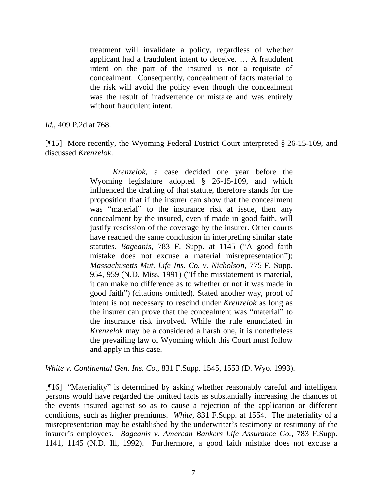treatment will invalidate a policy, regardless of whether applicant had a fraudulent intent to deceive. … A fraudulent intent on the part of the insured is not a requisite of concealment. Consequently, concealment of facts material to the risk will avoid the policy even though the concealment was the result of inadvertence or mistake and was entirely without fraudulent intent.

*Id.*, 409 P.2d at 768.

[¶15] More recently, the Wyoming Federal District Court interpreted § 26-15-109, and discussed *Krenzelok*.

> *Krenzelok,* a case decided one year before the Wyoming legislature adopted § 26-15-109, and which influenced the drafting of that statute, therefore stands for the proposition that if the insurer can show that the concealment was "material" to the insurance risk at issue, then any concealment by the insured, even if made in good faith, will justify rescission of the coverage by the insurer. Other courts have reached the same conclusion in interpreting similar state statutes. *Bageanis*, 783 F. Supp. at 1145 ("A good faith mistake does not excuse a material misrepresentation"); *Massachusetts Mut. Life Ins. Co. v. Nicholson*, 775 F. Supp. 954, 959 (N.D. Miss. 1991) ("If the misstatement is material, it can make no difference as to whether or not it was made in good faith") (citations omitted). Stated another way, proof of intent is not necessary to rescind under *Krenzelok* as long as the insurer can prove that the concealment was "material" to the insurance risk involved. While the rule enunciated in *Krenzelok* may be a considered a harsh one, it is nonetheless the prevailing law of Wyoming which this Court must follow and apply in this case.

*White v. Continental Gen. Ins. Co.,* 831 F.Supp. 1545, 1553 (D. Wyo. 1993).

[¶16] "Materiality" is determined by asking whether reasonably careful and intelligent persons would have regarded the omitted facts as substantially increasing the chances of the events insured against so as to cause a rejection of the application or different conditions, such as higher premiums. *White*, 831 F.Supp. at 1554. The materiality of a misrepresentation may be established by the underwriter's testimony or testimony of the insurer"s employees. *Bageanis v. Amercan Bankers Life Assurance Co.*, 783 F.Supp. 1141, 1145 (N.D. Ill, 1992). Furthermore, a good faith mistake does not excuse a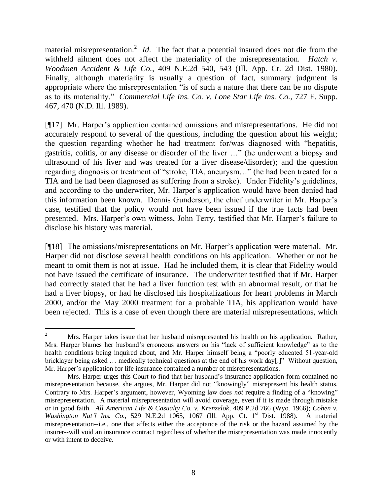material misrepresentation.<sup>2</sup> *Id*. The fact that a potential insured does not die from the withheld ailment does not affect the materiality of the misrepresentation. *Hatch v. Woodmen Accident & Life Co.*, 409 N.E.2d 540, 543 (Ill. App. Ct. 2d Dist. 1980). Finally, although materiality is usually a question of fact, summary judgment is appropriate where the misrepresentation "is of such a nature that there can be no dispute as to its materiality." *Commercial Life Ins. Co. v. Lone Star Life Ins. Co.*, 727 F. Supp. 467, 470 (N.D. Ill. 1989).

[¶17] Mr. Harper"s application contained omissions and misrepresentations. He did not accurately respond to several of the questions, including the question about his weight; the question regarding whether he had treatment for/was diagnosed with "hepatitis, gastritis, colitis, or any disease or disorder of the liver …" (he underwent a biopsy and ultrasound of his liver and was treated for a liver disease/disorder); and the question regarding diagnosis or treatment of "stroke, TIA, aneurysm…" (he had been treated for a TIA and he had been diagnosed as suffering from a stroke). Under Fidelity"s guidelines, and according to the underwriter, Mr. Harper"s application would have been denied had this information been known. Dennis Gunderson, the chief underwriter in Mr. Harper"s case, testified that the policy would not have been issued if the true facts had been presented. Mrs. Harper's own witness, John Terry, testified that Mr. Harper's failure to disclose his history was material.

[¶18] The omissions/misrepresentations on Mr. Harper"s application were material. Mr. Harper did not disclose several health conditions on his application. Whether or not he meant to omit them is not at issue. Had he included them, it is clear that Fidelity would not have issued the certificate of insurance. The underwriter testified that if Mr. Harper had correctly stated that he had a liver function test with an abnormal result, or that he had a liver biopsy, or had he disclosed his hospitalizations for heart problems in March 2000, and/or the May 2000 treatment for a probable TIA, his application would have been rejected. This is a case of even though there are material misrepresentations, which

 $\overline{2}$ <sup>2</sup> Mrs. Harper takes issue that her husband misrepresented his health on his application. Rather, Mrs. Harper blames her husband"s erroneous answers on his "lack of sufficient knowledge" as to the health conditions being inquired about, and Mr. Harper himself being a "poorly educated 51-year-old bricklayer being asked … medically technical questions at the end of his work day[.]" Without question, Mr. Harper"s application for life insurance contained a number of misrepresentations.

Mrs. Harper urges this Court to find that her husband"s insurance application form contained no misrepresentation because, she argues, Mr. Harper did not "knowingly" misrepresent his health status. Contrary to Mrs. Harper's argument, however, Wyoming law does *not* require a finding of a "knowing" misrepresentation. A material misrepresentation will avoid coverage, even if it is made through mistake or in good faith. *All American Life & Casualty Co. v. Krenzelok*, 409 P.2d 766 (Wyo. 1966); *Cohen v. Washington Nat'l Ins. Co.*, 529 N.E.2d 1065, 1067 (Ill. App. Ct. 1<sup>st</sup> Dist. 1988). A material misrepresentation--i.e., one that affects either the acceptance of the risk or the hazard assumed by the insurer--will void an insurance contract regardless of whether the misrepresentation was made innocently or with intent to deceive.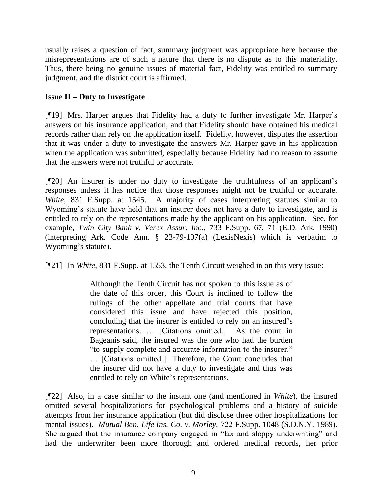usually raises a question of fact, summary judgment was appropriate here because the misrepresentations are of such a nature that there is no dispute as to this materiality. Thus, there being no genuine issues of material fact, Fidelity was entitled to summary judgment, and the district court is affirmed.

# **Issue II – Duty to Investigate**

[¶19] Mrs. Harper argues that Fidelity had a duty to further investigate Mr. Harper"s answers on his insurance application, and that Fidelity should have obtained his medical records rather than rely on the application itself. Fidelity, however, disputes the assertion that it was under a duty to investigate the answers Mr. Harper gave in his application when the application was submitted, especially because Fidelity had no reason to assume that the answers were not truthful or accurate.

[¶20] An insurer is under no duty to investigate the truthfulness of an applicant"s responses unless it has notice that those responses might not be truthful or accurate. *White*, 831 F.Supp. at 1545. A majority of cases interpreting statutes similar to Wyoming's statute have held that an insurer does not have a duty to investigate, and is entitled to rely on the representations made by the applicant on his application. See, for example, *Twin City Bank v. Verex Assur. Inc.*, 733 F.Supp. 67, 71 (E.D. Ark. 1990) (interpreting Ark. Code Ann. § 23-79-107(a) (LexisNexis) which is verbatim to Wyoming's statute).

[¶21] In *White*, 831 F.Supp. at 1553, the Tenth Circuit weighed in on this very issue:

Although the Tenth Circuit has not spoken to this issue as of the date of this order, this Court is inclined to follow the rulings of the other appellate and trial courts that have considered this issue and have rejected this position, concluding that the insurer is entitled to rely on an insured's representations. … [Citations omitted.] As the court in Bageanis said, the insured was the one who had the burden "to supply complete and accurate information to the insurer." … [Citations omitted.] Therefore, the Court concludes that the insurer did not have a duty to investigate and thus was entitled to rely on White's representations.

[¶22] Also, in a case similar to the instant one (and mentioned in *White*), the insured omitted several hospitalizations for psychological problems and a history of suicide attempts from her insurance application (but did disclose three other hospitalizations for mental issues). *Mutual Ben. Life Ins. Co. v. Morley,* 722 F.Supp. 1048 (S.D.N.Y. 1989). She argued that the insurance company engaged in "lax and sloppy underwriting" and had the underwriter been more thorough and ordered medical records, her prior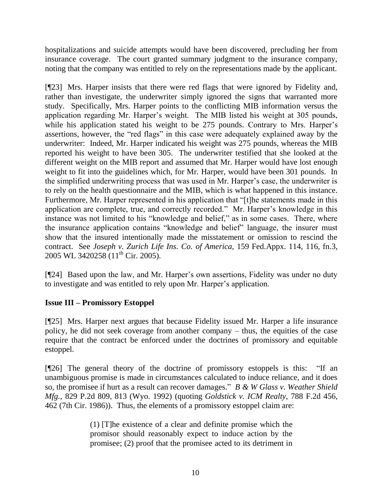hospitalizations and suicide attempts would have been discovered, precluding her from insurance coverage. The court granted summary judgment to the insurance company, noting that the company was entitled to rely on the representations made by the applicant.

[¶23] Mrs. Harper insists that there were red flags that were ignored by Fidelity and, rather than investigate, the underwriter simply ignored the signs that warranted more study. Specifically, Mrs. Harper points to the conflicting MIB information versus the application regarding Mr. Harper"s weight. The MIB listed his weight at 305 pounds, while his application stated his weight to be 275 pounds. Contrary to Mrs. Harper's assertions, however, the "red flags" in this case were adequately explained away by the underwriter: Indeed, Mr. Harper indicated his weight was 275 pounds, whereas the MIB reported his weight to have been 305. The underwriter testified that she looked at the different weight on the MIB report and assumed that Mr. Harper would have lost enough weight to fit into the guidelines which, for Mr. Harper, would have been 301 pounds. In the simplified underwriting process that was used in Mr. Harper"s case, the underwriter is to rely on the health questionnaire and the MIB, which is what happened in this instance. Furthermore, Mr. Harper represented in his application that "[t]he statements made in this application are complete, true, and correctly recorded." Mr. Harper's knowledge in this instance was not limited to his "knowledge and belief," as in some cases. There, where the insurance application contains "knowledge and belief" language, the insurer must show that the insured intentionally made the misstatement or omission to rescind the contract. See *Joseph v. Zurich Life Ins. Co. of America,* 159 Fed.Appx. 114, 116, fn.3, 2005 WL 3420258 (11<sup>th</sup> Cir. 2005).

[¶24] Based upon the law, and Mr. Harper"s own assertions, Fidelity was under no duty to investigate and was entitled to rely upon Mr. Harper"s application.

# **Issue III – Promissory Estoppel**

[¶25] Mrs. Harper next argues that because Fidelity issued Mr. Harper a life insurance policy, he did not seek coverage from another company – thus, the equities of the case require that the contract be enforced under the doctrines of promissory and equitable estoppel.

[¶26] The general theory of the doctrine of promissory estoppels is this: "If an unambiguous promise is made in circumstances calculated to induce reliance, and it does so, the promisee if hurt as a result can recover damages." *B & W Glass v. Weather Shield Mfg.,* 829 P.2d 809, 813 (Wyo. 1992) (quoting *Goldstick v. ICM Realty*, 788 F.2d 456, 462 (7th Cir. 1986)). Thus, the elements of a promissory estoppel claim are:

> (1) [T]he existence of a clear and definite promise which the promisor should reasonably expect to induce action by the promisee; (2) proof that the promisee acted to its detriment in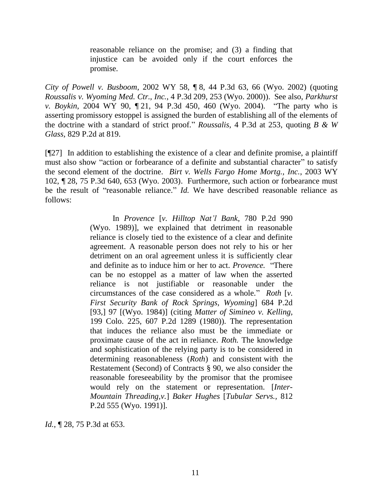reasonable reliance on the promise; and (3) a finding that injustice can be avoided only if the court enforces the promise.

*City of Powell v. Busboom*, 2002 WY 58, ¶ 8, 44 P.3d 63, 66 (Wyo. 2002) (quoting *Roussalis v. Wyoming Med. Ctr., Inc.*, 4 P.3d 209, 253 (Wyo. 2000)). See also, *Parkhurst v. Boykin*, 2004 WY 90, ¶ 21, 94 P.3d 450, 460 (Wyo. 2004). "The party who is asserting promissory estoppel is assigned the burden of establishing all of the elements of the doctrine with a standard of strict proof." *Roussalis*, 4 P.3d at 253, quoting *B & W Glass*, 829 P.2d at 819.

[¶27] In addition to establishing the existence of a clear and definite promise, a plaintiff must also show "action or forbearance of a definite and substantial character" to satisfy the second element of the doctrine. *Birt v. Wells Fargo Home Mortg., Inc.*, 2003 WY 102, ¶ 28, 75 P.3d 640, 653 (Wyo. 2003). Furthermore, such action or forbearance must be the result of "reasonable reliance." *Id.* We have described reasonable reliance as follows:

> In *Provence* [*v. Hilltop Nat'l Bank*, 780 P.2d 990 (Wyo. 1989)], we explained that detriment in reasonable reliance is closely tied to the existence of a clear and definite agreement. A reasonable person does not rely to his or her detriment on an oral agreement unless it is sufficiently clear and definite as to induce him or her to act. *Provence.* "There can be no estoppel as a matter of law when the asserted reliance is not justifiable or reasonable under the circumstances of the case considered as a whole." *Roth* [*v. First Security Bank of Rock Springs, Wyoming*] 684 P.2d [93,] 97 [(Wyo. 1984)] (citing *Matter of Simineo v. Kelling,*  199 Colo. 225, 607 P.2d 1289 (1980)). The representation that induces the reliance also must be the immediate or proximate cause of the act in reliance. *Roth.* The knowledge and sophistication of the relying party is to be considered in determining reasonableness (*Roth*) and consistent with the Restatement (Second) of Contracts § 90, we also consider the reasonable foreseeability by the promisor that the promisee would rely on the statement or representation. [*Inter-Mountain Threading,v.*] *Baker Hughes* [*Tubular Servs.,* 812 P.2d 555 (Wyo. 1991)].

*Id.*, **[28, 75 P.3d at 653.**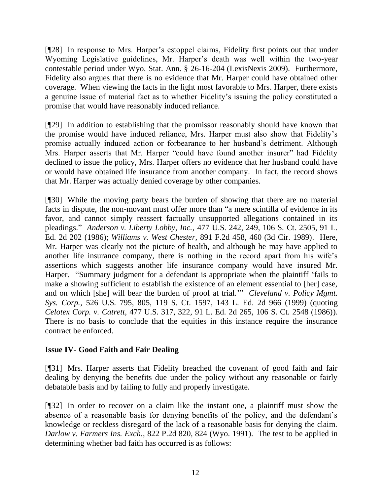[¶28] In response to Mrs. Harper's estoppel claims, Fidelity first points out that under Wyoming Legislative guidelines, Mr. Harper"s death was well within the two-year contestable period under Wyo. Stat. Ann. § 26-16-204 (LexisNexis 2009). Furthermore, Fidelity also argues that there is no evidence that Mr. Harper could have obtained other coverage. When viewing the facts in the light most favorable to Mrs. Harper, there exists a genuine issue of material fact as to whether Fidelity"s issuing the policy constituted a promise that would have reasonably induced reliance.

[¶29] In addition to establishing that the promissor reasonably should have known that the promise would have induced reliance, Mrs. Harper must also show that Fidelity"s promise actually induced action or forbearance to her husband"s detriment. Although Mrs. Harper asserts that Mr. Harper "could have found another insurer" had Fidelity declined to issue the policy, Mrs. Harper offers no evidence that her husband could have or would have obtained life insurance from another company. In fact, the record shows that Mr. Harper was actually denied coverage by other companies.

[¶30] While the moving party bears the burden of showing that there are no material facts in dispute, the non-movant must offer more than "a mere scintilla of evidence in its favor, and cannot simply reassert factually unsupported allegations contained in its pleadings." *Anderson v. Liberty Lobby, Inc.,* 477 U.S. 242, 249, 106 S. Ct. 2505, 91 L. Ed. 2d 202 (1986); *Williams v. West Chester,* 891 F.2d 458, 460 (3d Cir. 1989). Here, Mr. Harper was clearly not the picture of health, and although he may have applied to another life insurance company, there is nothing in the record apart from his wife"s assertions which suggests another life insurance company would have insured Mr. Harper. "Summary judgment for a defendant is appropriate when the plaintiff "fails to make a showing sufficient to establish the existence of an element essential to [her] case, and on which [she] will bear the burden of proof at trial."" *Cleveland v. Policy Mgmt. Sys. Corp.,* 526 U.S. 795, 805, 119 S. Ct. 1597, 143 L. Ed. 2d 966 (1999) (quoting *Celotex Corp. v. Catrett,* 477 U.S. 317, 322, 91 L. Ed. 2d 265, 106 S. Ct. 2548 (1986)). There is no basis to conclude that the equities in this instance require the insurance contract be enforced.

# **Issue IV- Good Faith and Fair Dealing**

[¶31] Mrs. Harper asserts that Fidelity breached the covenant of good faith and fair dealing by denying the benefits due under the policy without any reasonable or fairly debatable basis and by failing to fully and properly investigate.

[¶32] In order to recover on a claim like the instant one, a plaintiff must show the absence of a reasonable basis for denying benefits of the policy, and the defendant"s knowledge or reckless disregard of the lack of a reasonable basis for denying the claim. *Darlow v. Farmers Ins. Exch.*, 822 P.2d 820, 824 (Wyo. 1991). The test to be applied in determining whether bad faith has occurred is as follows: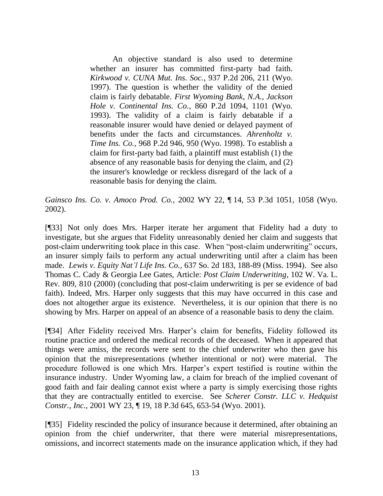An objective standard is also used to determine whether an insurer has committed first-party bad faith. *Kirkwood v. CUNA Mut. Ins. Soc.*, 937 P.2d 206, 211 (Wyo. 1997). The question is whether the validity of the denied claim is fairly debatable. *First Wyoming Bank, N.A., Jackson Hole v. Continental Ins. Co.*, 860 P.2d 1094, 1101 (Wyo. 1993). The validity of a claim is fairly debatable if a reasonable insurer would have denied or delayed payment of benefits under the facts and circumstances. *Ahrenholtz v. Time Ins. Co.*, 968 P.2d 946, 950 (Wyo. 1998). To establish a claim for first-party bad faith, a plaintiff must establish (1) the absence of any reasonable basis for denying the claim, and (2) the insurer's knowledge or reckless disregard of the lack of a reasonable basis for denying the claim.

*Gainsco Ins. Co. v. Amoco Prod. Co.,* 2002 WY 22, ¶ 14, 53 P.3d 1051, 1058 (Wyo. 2002).

[¶33] Not only does Mrs. Harper iterate her argument that Fidelity had a duty to investigate, but she argues that Fidelity unreasonably denied her claim and suggests that post-claim underwriting took place in this case. When "post-claim underwriting" occurs, an insurer simply fails to perform any actual underwriting until after a claim has been made. *Lewis v. Equity Nat'l Life Ins. Co.,* 637 So. 2d 183, 188-89 (Miss. 1994). See also Thomas C. Cady & Georgia Lee Gates*,* Article: *Post Claim Underwriting*, 102 W. Va. L. Rev. 809, 810 (2000) (concluding that post-claim underwriting is per se evidence of bad faith). Indeed, Mrs. Harper only suggests that this may have occurred in this case and does not altogether argue its existence. Nevertheless, it is our opinion that there is no showing by Mrs. Harper on appeal of an absence of a reasonable basis to deny the claim.

[¶34] After Fidelity received Mrs. Harper"s claim for benefits, Fidelity followed its routine practice and ordered the medical records of the deceased. When it appeared that things were amiss, the records were sent to the chief underwriter who then gave his opinion that the misrepresentations (whether intentional or not) were material. The procedure followed is one which Mrs. Harper"s expert testified is routine within the insurance industry. Under Wyoming law, a claim for breach of the implied covenant of good faith and fair dealing cannot exist where a party is simply exercising those rights that they are contractually entitled to exercise. See *Scherer Constr. LLC v. Hedquist Constr., Inc.*, 2001 WY 23, ¶ 19, 18 P.3d 645, 653-54 (Wyo. 2001).

[¶35] Fidelity rescinded the policy of insurance because it determined, after obtaining an opinion from the chief underwriter, that there were material misrepresentations, omissions, and incorrect statements made on the insurance application which, if they had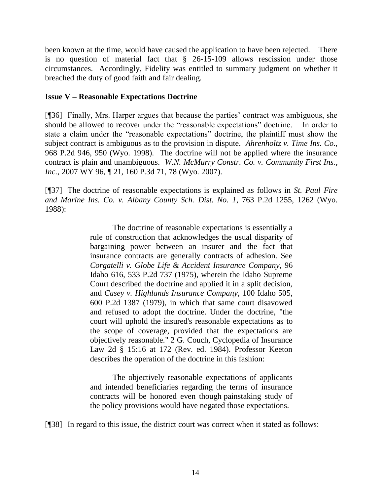been known at the time, would have caused the application to have been rejected. There is no question of material fact that § 26-15-109 allows rescission under those circumstances. Accordingly, Fidelity was entitled to summary judgment on whether it breached the duty of good faith and fair dealing.

### **Issue V – Reasonable Expectations Doctrine**

[¶36] Finally, Mrs. Harper argues that because the parties" contract was ambiguous, she should be allowed to recover under the "reasonable expectations" doctrine. In order to state a claim under the "reasonable expectations" doctrine, the plaintiff must show the subject contract is ambiguous as to the provision in dispute. *Ahrenholtz v. Time Ins. Co.,*  968 P.2d 946, 950 (Wyo. 1998). The doctrine will not be applied where the insurance contract is plain and unambiguous. *W.N. McMurry Constr. Co. v. Community First Ins., Inc.*, 2007 WY 96, ¶ 21, 160 P.3d 71, 78 (Wyo. 2007).

[¶37] The doctrine of reasonable expectations is explained as follows in *St. Paul Fire and Marine Ins. Co. v. Albany County Sch. Dist. No. 1*, 763 P.2d 1255, 1262 (Wyo. 1988):

> The doctrine of reasonable expectations is essentially a rule of construction that acknowledges the usual disparity of bargaining power between an insurer and the fact that insurance contracts are generally contracts of adhesion. See *Corgatelli v. Globe Life & Accident Insurance Company,* 96 Idaho 616, 533 P.2d 737 (1975), wherein the Idaho Supreme Court described the doctrine and applied it in a split decision, and *Casey v. Highlands Insurance Company,* 100 Idaho 505, 600 P.2d 1387 (1979), in which that same court disavowed and refused to adopt the doctrine. Under the doctrine, "the court will uphold the insured's reasonable expectations as to the scope of coverage, provided that the expectations are objectively reasonable." 2 G. Couch, Cyclopedia of Insurance Law 2d § 15:16 at 172 (Rev. ed. 1984). Professor Keeton describes the operation of the doctrine in this fashion:

> The objectively reasonable expectations of applicants and intended beneficiaries regarding the terms of insurance contracts will be honored even though painstaking study of the policy provisions would have negated those expectations.

[¶38] In regard to this issue, the district court was correct when it stated as follows: